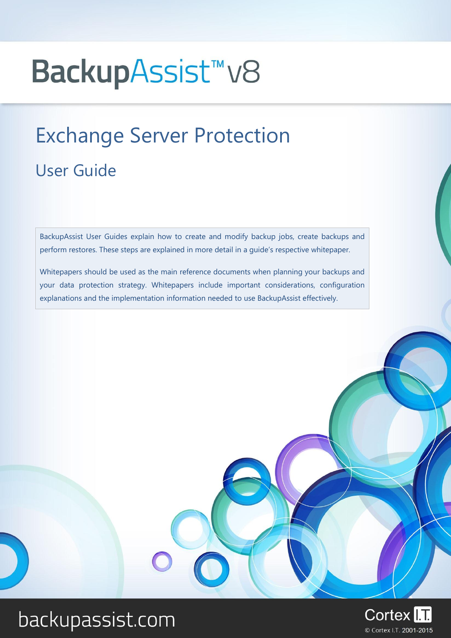# BackupAssist<sup>™</sup>v8

# Exchange Server Protection User Guide

BackupAssist User Guides explain how to create and modify backup jobs, create backups and perform restores. These steps are explained in more detail in a guide's respective whitepaper.

Whitepapers should be used as the main reference documents when planning your backups and your data protection strategy. Whitepapers include important considerations, configuration explanations and the implementation information needed to use BackupAssist effectively.

## backupassist.com

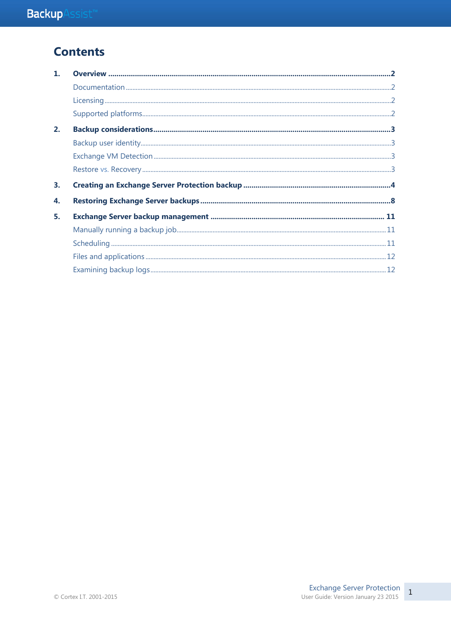## **Contents**

| $\mathbf{1}$ |  |
|--------------|--|
|              |  |
|              |  |
|              |  |
| 2.           |  |
|              |  |
|              |  |
|              |  |
|              |  |
| 3.           |  |
| 4.           |  |
| 5.           |  |
|              |  |
|              |  |
|              |  |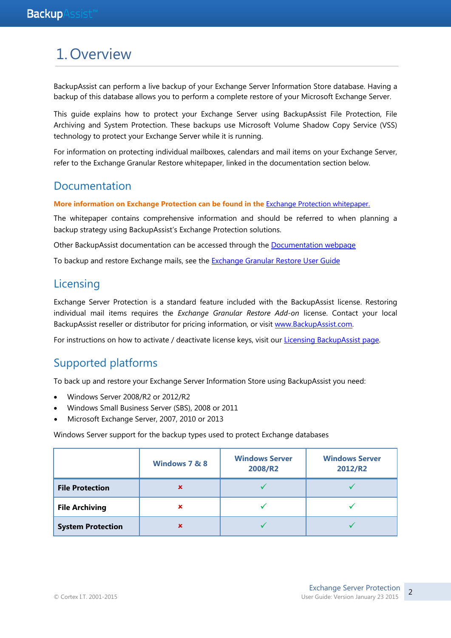## 1.Overview

BackupAssist can perform a live backup of your Exchange Server Information Store database. Having a backup of this database allows you to perform a complete restore of your Microsoft Exchange Server.

This guide explains how to protect your Exchange Server using BackupAssist File Protection, File Archiving and System Protection. These backups use Microsoft Volume Shadow Copy Service (VSS) technology to protect your Exchange Server while it is running.

For information on protecting individual mailboxes, calendars and mail items on your Exchange Server, refer to the Exchange Granular Restore whitepaper, linked in the documentation section below.

### Documentation

#### **More information on Exchange Protection can be found in the** [Exchange Protection whitepaper.](http://www.backupassist.com/downloads/v8/exchange_protection_whitepaper.pdf)

The whitepaper contains comprehensive information and should be referred to when planning a backup strategy using BackupAssist's Exchange Protection solutions.

Other BackupAssist documentation can be accessed through the [Documentation webpage](http://www.backupassist.com/education/#backupassist_v8)

To backup and restore Exchange mails, see the [Exchange Granular Restore User Guide](http://www.backupassist.com/downloads/v8/exchange_granular_restore_userguide.pdf)

### **Licensing**

Exchange Server Protection is a standard feature included with the BackupAssist license. Restoring individual mail items requires the *Exchange Granular Restore Add-on* license. Contact your local BackupAssist reseller or distributor for pricing information, or visit [www.BackupAssist.com.](http://www.backupassist.com/)

For instructions on how to activate / deactivate license keys, visit our [Licensing BackupAssist page.](http://www.backupassist.com/education/whitepapers/licensing_backupassist.html)

### Supported platforms

To back up and restore your Exchange Server Information Store using BackupAssist you need:

- Windows Server 2008/R2 or 2012/R2
- Windows Small Business Server (SBS), 2008 or 2011
- Microsoft Exchange Server, 2007, 2010 or 2013

Windows Server support for the backup types used to protect Exchange databases

|                          | Windows 7 & 8  | <b>Windows Server</b><br>2008/R2 | <b>Windows Server</b><br>2012/R2 |  |
|--------------------------|----------------|----------------------------------|----------------------------------|--|
| <b>File Protection</b>   | ×              |                                  |                                  |  |
| <b>File Archiving</b>    | ×              |                                  |                                  |  |
| <b>System Protection</b> | $\pmb{\times}$ |                                  |                                  |  |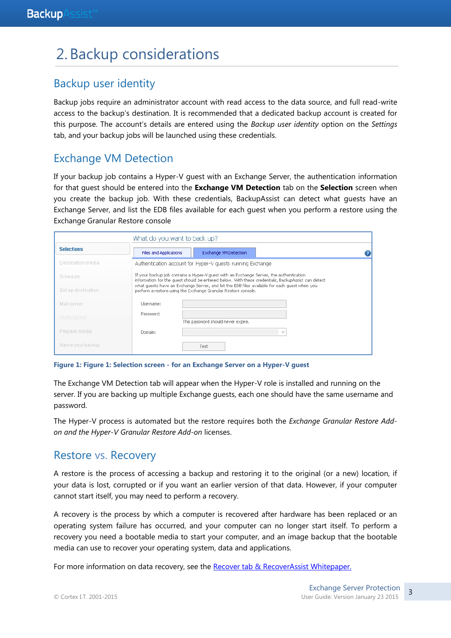## 2. Backup considerations

## Backup user identity

Backup jobs require an administrator account with read access to the data source, and full read-write access to the backup's destination. It is recommended that a dedicated backup account is created for this purpose. The account's details are entered using the *Backup user identity* option on the *Settings* tab, and your backup jobs will be launched using these credentials.

## <span id="page-3-0"></span>Exchange VM Detection

If your backup job contains a Hyper-V guest with an Exchange Server, the authentication information for that guest should be entered into the **Exchange VM Detection** tab on the **Selection** screen when you create the backup job. With these credentials, BackupAssist can detect what guests have an Exchange Server, and list the EDB files available for each guest when you perform a restore using the Exchange Granular Restore console

| What do you want to back up? |                               |                                                                                                                                                                                               |  |  |  |
|------------------------------|-------------------------------|-----------------------------------------------------------------------------------------------------------------------------------------------------------------------------------------------|--|--|--|
| <b>Selections</b>            | <b>Files and Applications</b> | Exchange VM Detection                                                                                                                                                                         |  |  |  |
| Destination media            |                               | Authentication account for Hyper-V quests running Exchange                                                                                                                                    |  |  |  |
| Schedule                     |                               | If your backup job contains a Hyper-V quest with an Exchange Server, the authentication<br>information for the quest should be entered below. With these credentials, BackupAssist can detect |  |  |  |
| Set up destination           |                               | what quests have an Exchange Server, and list the EDB files available for each quest when you<br>perform a restore using the Exchange Granular Restore console.                               |  |  |  |
| Mail server                  | Lisername:                    |                                                                                                                                                                                               |  |  |  |
| <b>Notifications</b>         | Password:                     | This password should never expire.                                                                                                                                                            |  |  |  |
| Prepare media                | Domain:                       |                                                                                                                                                                                               |  |  |  |
| Name your backup             |                               | Test                                                                                                                                                                                          |  |  |  |

**Figure 1: Figure 1: Selection screen - for an Exchange Server on a Hyper-V guest**

The Exchange VM Detection tab will appear when the Hyper-V role is installed and running on the server. If you are backing up multiple Exchange guests, each one should have the same username and password.

The Hyper-V process is automated but the restore requires both the *Exchange Granular Restore Addon and the Hyper-V Granular Restore Add-on* licenses.

### Restore vs. Recovery

A restore is the process of accessing a backup and restoring it to the original (or a new) location, if your data is lost, corrupted or if you want an earlier version of that data. However, if your computer cannot start itself, you may need to perform a recovery.

A recovery is the process by which a computer is recovered after hardware has been replaced or an operating system failure has occurred, and your computer can no longer start itself. To perform a recovery you need a bootable media to start your computer, and an image backup that the bootable media can use to recover your operating system, data and applications.

For more information on data recovery, see the [Recover tab & RecoverAssist Whitepaper.](http://www.backupassist.com/education/v8/whitepapers/recover_whitepaper.html)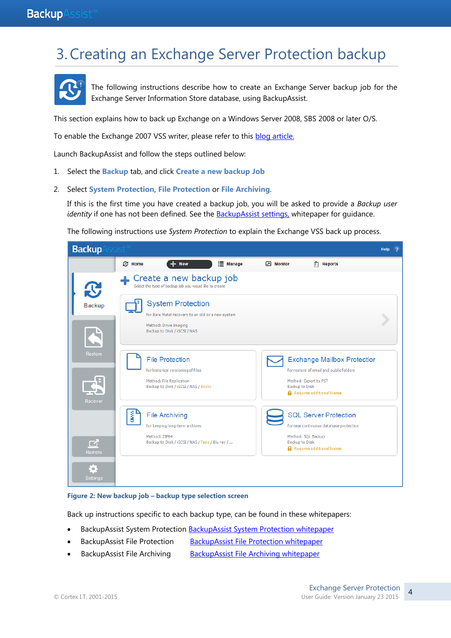## 3.Creating an Exchange Server Protection backup



The following instructions describe how to create an Exchange Server backup job for the Exchange Server Information Store database, using BackupAssist.

This section explains how to back up Exchange on a Windows Server 2008, SBS 2008 or later O/S.

To enable the Exchange 2007 VSS writer, please refer to this **blog article**.

Launch BackupAssist and follow the steps outlined below:

- 1. Select the **Backup** tab, and click **Create a new backup Job**
- 2. Select **System Protection, File Protection** or **File Archiving**.

If this is the first time you have created a backup job, you will be asked to provide a *Backup user identity* if one has not been defined. See th[e BackupAssist settings,](http://www.backupassist.com/education/v8/whitepapers/backupassist_settings.html) whitepaper for quidance.

The following instructions use *System Protection* to explain the Exchange VSS back up process.

| <b>Backup</b>      | $\mathsf{s}\mathsf{s}\mathsf{s}\mathsf{s}\mathsf{t}^{\mathsf{r}}$                                                                      |                              | Help                                                                                                                                                           |
|--------------------|----------------------------------------------------------------------------------------------------------------------------------------|------------------------------|----------------------------------------------------------------------------------------------------------------------------------------------------------------|
|                    | $\mathbb{C}$ Home<br>$+$ New                                                                                                           | <b>E</b> Manage<br>M Monitor | $\left  \vec{x} \right $<br><b>Reports</b>                                                                                                                     |
| $\mathbf{C}$       | Create a new backup job<br>Select the type of backup job you would like to create                                                      |                              |                                                                                                                                                                |
| <b>Backup</b>      | <b>System Protection</b><br>for Bare Metal recovery to an old or a new system<br>Method: Drive Imaging<br>Backup to Disk / iSCSI / NAS |                              |                                                                                                                                                                |
| Restore<br>Recover | <b>File Protection</b><br>for historical versioning of files<br>Method: File Replication<br>Backup to Disk / iSCSI / NAS / Rsync       |                              | <b>Exchange Mailbox Protectior</b><br>for restore of email and public folders<br>Method: Export to PST<br><b>Backup to Disk</b><br>Requires additional license |
| ♂<br>Remote        | š<br><b>File Archiving</b><br>for keeping long-term archives<br>Method: ZIP64<br>Backup to Disk / iSCSI / NAS / Tape / Blu-ray /       |                              | <b>SQL Server Protection</b><br>for near continuous database protection<br>Method: SQL Backup<br>Backup to Disk<br>Requires additional license                 |
| Settings           |                                                                                                                                        |                              |                                                                                                                                                                |

#### **Figure 2: New backup job – backup type selection screen**

Back up instructions specific to each backup type, can be found in these whitepapers:

- BackupAssist System Protection [BackupAssist System Protection whitepaper](http://www.backupassist.com/education/v8/whitepapers/system_protection_whitepaper.html)
- BackupAssist File Protection [BackupAssist File Protection whitepaper](http://www.backupassist.com/education/v8/whitepapers/file_protection_whitepaper.html)
- BackupAssist File Archiving [BackupAssist File Archiving whitepaper](http://www.backupassist.com/education/v8/whitepapers/file_archiving_whitepaper.html)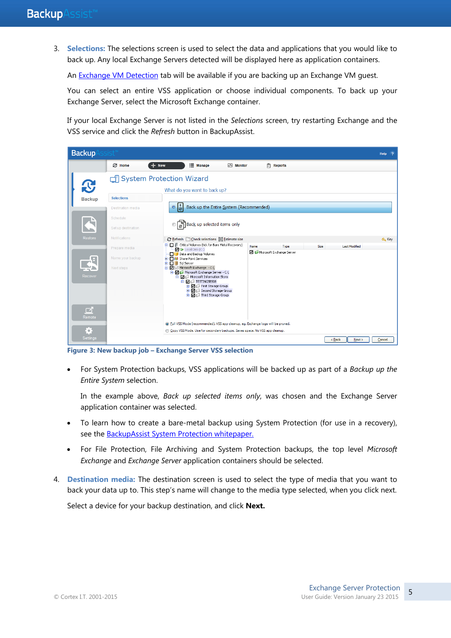3. **Selections:** The selections screen is used to select the data and applications that you would like to back up. Any local Exchange Servers detected will be displayed here as application containers.

An [Exchange VM Detection](#page-3-0) tab will be available if you are backing up an Exchange VM quest.

You can select an entire VSS application or choose individual components. To back up your Exchange Server, select the Microsoft Exchange container.

If your local Exchange Server is not listed in the *Selections* screen, try restarting Exchange and the VSS service and click the *Refresh* button in BackupAssist.



**Figure 3: New backup job – Exchange Server VSS selection**

 For System Protection backups, VSS applications will be backed up as part of a *Backup up the Entire System* selection.

In the example above, *Back up selected items only*, was chosen and the Exchange Server application container was selected.

- To learn how to create a bare-metal backup using System Protection (for use in a recovery), see the [BackupAssist System Protection whitepaper.](http://www.backupassist.com/education/v8/whitepapers/system_protection_whitepaper.html)
- For File Protection, File Archiving and System Protection backups, the top level *Microsoft Exchange* and *Exchange Server* application containers should be selected.
- 4. **Destination media:** The destination screen is used to select the type of media that you want to back your data up to. This step's name will change to the media type selected, when you click next.

Select a device for your backup destination, and click **Next.**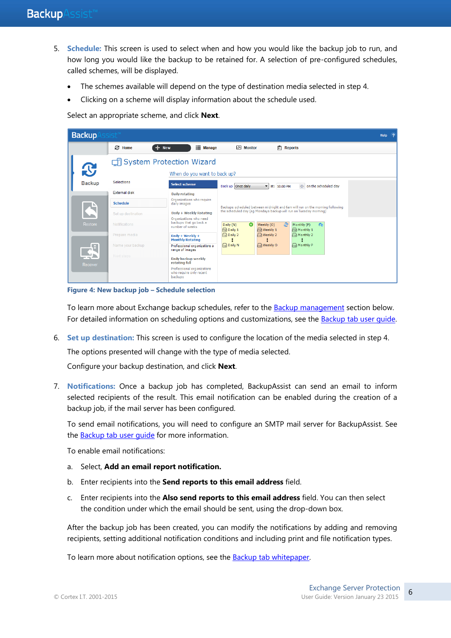- 5. **Schedule:** This screen is used to select when and how you would like the backup job to run, and how long you would like the backup to be retained for. A selection of pre-configured schedules, called schemes, will be displayed.
	- The schemes available will depend on the type of destination media selected in step 4.
	- Clicking on a scheme will display information about the schedule used.

Select an appropriate scheme, and click **Next**.

| <b>Backup</b>  |                                    |                                                                  |                                                                                                                                                   | Help<br>$\sqrt{2}$ |  |
|----------------|------------------------------------|------------------------------------------------------------------|---------------------------------------------------------------------------------------------------------------------------------------------------|--------------------|--|
|                | £.<br>Home                         | ≔<br><b>New</b><br><b>Manage</b>                                 | $\left  \vec{z} \right $ Reports<br>Monitor                                                                                                       |                    |  |
|                | <b>di System Protection Wizard</b> |                                                                  |                                                                                                                                                   |                    |  |
| $\mathbf{C}$   |                                    | When do you want to back up?                                     |                                                                                                                                                   |                    |  |
| <b>Backup</b>  | <b>Selections</b>                  | Select scheme                                                    | Back up Once daily<br>on the scheduled day<br>at: 10:00 PM<br>$\blacksquare$                                                                      |                    |  |
|                | <b>External disk</b>               | <b>Daily rotating</b>                                            |                                                                                                                                                   |                    |  |
|                | <b>Schedule</b>                    | Organizations who require<br>daily images                        | Backups scheduled between midnight and 6am will run on the morning following<br>the scheduled day (eq Mondays backup will run on Tuesday morning) |                    |  |
|                | Set up destination                 | Daily + Weekly Rotating<br>Organizations who need                |                                                                                                                                                   |                    |  |
| Restore        | Notifications                      | backups that go back a<br>number of weeks                        | உ<br>6 <sub>1</sub><br>Daily (N)<br>$\circ$<br>Weekly (O)<br>Monthly (P)<br>$\Box$ Daily 1<br>$\bigcap$ Weekly 1<br>$\Box$ Monthly 1              |                    |  |
|                | Prepare media                      | Daily + Weekly +<br><b>Monthly Rotating</b>                      | <b>B</b> Daily 2<br>$\bigcap$ Weekly 2<br>$\Box$ Monthly 2                                                                                        |                    |  |
| $\mathbb{R}^n$ | Name your backup                   | Professional organizations a<br>range of images                  | $\Box$ Daily N<br>$\Box$ Monthly P<br>$\bigcap$ Weekly O                                                                                          |                    |  |
| Recover        | Next steps                         | Daily backup weekly<br>rotating full                             |                                                                                                                                                   |                    |  |
|                |                                    | Professional organizations<br>who require only recent<br>backups |                                                                                                                                                   |                    |  |

**Figure 4: New backup job – Schedule selection**

To learn more about Exchange backup schedules, refer to the **Backup management section below.** For detailed information on scheduling options and customizations, see the [Backup tab user guide.](http://www.backupassist.com/education/v8/whitepapers/backup_whitepaper.html)

6. **Set up destination:** This screen is used to configure the location of the media selected in step 4.

The options presented will change with the type of media selected.

Configure your backup destination, and click **Next**.

7. **Notifications:** Once a backup job has completed, BackupAssist can send an email to inform selected recipients of the result. This email notification can be enabled during the creation of a backup job, if the mail server has been configured.

To send email notifications, you will need to configure an SMTP mail server for BackupAssist. See the [Backup tab user guide](http://www.backupassist.com/downloads/v8/backup_tab_userguide.pdf) for more information.

To enable email notifications:

- a. Select, **Add an email report notification.**
- b. Enter recipients into the **Send reports to this email address** field.
- c. Enter recipients into the **Also send reports to this email address** field. You can then select the condition under which the email should be sent, using the drop-down box.

After the backup job has been created, you can modify the notifications by adding and removing recipients, setting additional notification conditions and including print and file notification types.

To learn more about notification options, see the **Backup tab whitepaper**.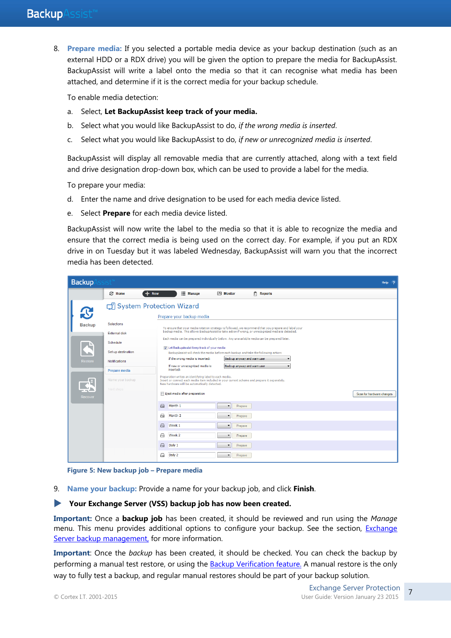8. **Prepare media:** If you selected a portable media device as your backup destination (such as an external HDD or a RDX drive) you will be given the option to prepare the media for BackupAssist. BackupAssist will write a label onto the media so that it can recognise what media has been attached, and determine if it is the correct media for your backup schedule.

To enable media detection:

- a. Select, **Let BackupAssist keep track of your media.**
- b. Select what you would like BackupAssist to do, *if the wrong media is inserted*.
- c. Select what you would like BackupAssist to do, *if new or unrecognized media is inserted*.

BackupAssist will display all removable media that are currently attached, along with a text field and drive designation drop-down box, which can be used to provide a label for the media.

To prepare your media:

- d. Enter the name and drive designation to be used for each media device listed.
- e. Select **Prepare** for each media device listed.

BackupAssist will now write the label to the media so that it is able to recognize the media and ensure that the correct media is being used on the correct day. For example, if you put an RDX drive in on Tuesday but it was labeled Wednesday, BackupAssist will warn you that the incorrect media has been detected.

| <b>Backup</b> |                              |                                                                                                                                                                                                        | Help <sub>2</sub>         |
|---------------|------------------------------|--------------------------------------------------------------------------------------------------------------------------------------------------------------------------------------------------------|---------------------------|
|               | <b>&amp;</b> Home<br>$+$ New | <b>E</b> Manage<br>Reports<br>$\overline{\mathbb{M}}$ Monitor                                                                                                                                          |                           |
| $\mathbf{C}$  | System Protection Wizard     | Prepare your backup media                                                                                                                                                                              |                           |
| <b>Backup</b> | <b>Selections</b>            | To ensure that your media rotation strategy is followed, we recommend that you prepare and label your                                                                                                  |                           |
|               | External disk                | backup media. This allows BackupAssist to take action if wrong, or unrecognized media is detected.                                                                                                     |                           |
|               | Schedule                     | Each media can be prepared individually below. Any unavailable media can be prepared later.                                                                                                            |                           |
|               | Set up destination           | I Let BackupAssist keep track of your media<br>BackupAssist will check the media before each backup and take the following action:                                                                     |                           |
| Restore       | <b>Notifications</b>         | Back up anyway and warn user<br>If the wrong media is inserted:                                                                                                                                        |                           |
|               | Prepare media                | If new or unrecognized media is<br>Back up anyway and warn user<br>۰<br>inserted:                                                                                                                      |                           |
| Æ             | Name your backup             | Preparation writes an identifying label to each media.<br>Insert or connect each media item included in your current scheme and prepare it separately.<br>New hardware will be automatically detected. |                           |
| Recover       | Next steps                   | Eject media after preparation                                                                                                                                                                          | Scan for hardware changes |
|               |                              | $\ominus$<br>Month 1<br>Prepare<br>$\blacktriangledown$                                                                                                                                                |                           |
|               |                              | Month 2<br>$\ominus$<br>Prepare<br>۰                                                                                                                                                                   |                           |
|               |                              | $\ominus$<br>Week 1<br>Prepare<br>٠                                                                                                                                                                    |                           |
|               |                              | Week 2<br>⊟<br>Prepare<br>$\cdot$                                                                                                                                                                      |                           |
|               |                              | Daily 1<br>$\triangle$<br>Prepare<br>$\blacktriangledown$                                                                                                                                              |                           |
|               |                              | $\ominus$<br>Daily 2<br>Prepare<br>$\overline{\phantom{a}}$                                                                                                                                            |                           |

**Figure 5: New backup job – Prepare media** 

- 9. **Name your backup:** Provide a name for your backup job, and click **Finish**.
- **Your Exchange Server (VSS) backup job has now been created.**

**Important:** Once a **backup job** has been created, it should be reviewed and run using the *Manage* menu. This menu provides additional options to configure your backup. See the section, Exchange Server [backup management,](#page-11-1) for more information.

**Important**: Once the *backup* has been created, it should be checked. You can check the backup by performing a manual test restore, or using the **Backup Verification feature.** A manual restore is the only way to fully test a backup, and regular manual restores should be part of your backup solution.

7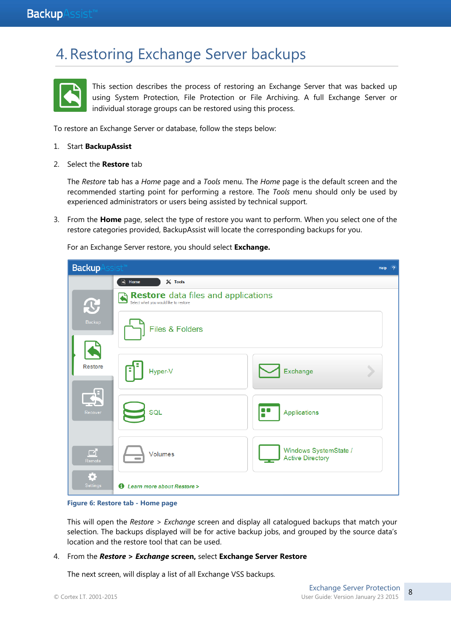## 4.Restoring Exchange Server backups



This section describes the process of restoring an Exchange Server that was backed up using System Protection, File Protection or File Archiving. A full Exchange Server or individual storage groups can be restored using this process.

To restore an Exchange Server or database, follow the steps below:

#### 1. Start **BackupAssist**

2. Select the **Restore** tab

The *Restore* tab has a *Home* page and a *Tools* menu. The *Home* page is the default screen and the recommended starting point for performing a restore. The *Tools* menu should only be used by experienced administrators or users being assisted by technical support.

3. From the **Home** page, select the type of restore you want to perform. When you select one of the restore categories provided, BackupAssist will locate the corresponding backups for you.

For an Exchange Server restore, you should select **Exchange.**

| <b>Backup</b>  | $isist^m$                                                                    | Help<br>$\overline{2}$ |
|----------------|------------------------------------------------------------------------------|------------------------|
|                | $\mathbb{R}$<br>$\frac{1}{26}$ Tools<br>Home                                 |                        |
| $\mathbf C$    | Restore data files and applications<br>Select what you would like to restore |                        |
| Backup         | Files & Folders                                                              |                        |
| <b>Restore</b> | Hyper-V<br>Exchange                                                          |                        |
| €<br>Recover   | F<br>SQL<br>Applications                                                     |                        |
| ♂<br>Remote    | Windows SystemState /<br>Volumes<br><b>Active Directory</b>                  |                        |
| ♦.<br>Settings | <b>1</b> Learn more about Restore >                                          |                        |

**Figure 6: Restore tab - Home page**

This will open the *Restore > Exchange* screen and display all catalogued backups that match your selection. The backups displayed will be for active backup jobs, and grouped by the source data's location and the restore tool that can be used.

#### 4. From the *Restore* **>** *Exchange* **screen,** select **Exchange Server Restore**

The next screen, will display a list of all Exchange VSS backups*.*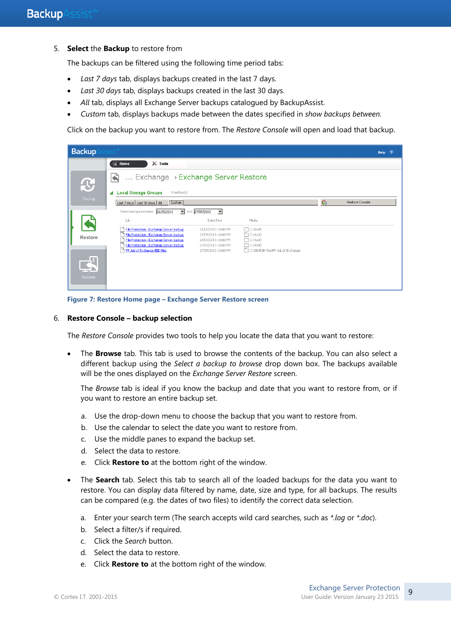5. **Select** the **Backup** to restore from

The backups can be filtered using the following time period tabs:

- *Last 7 days* tab, displays backups created in the last 7 days.
- *Last 30 days* tab, displays backups created in the last 30 days.
- *All* tab, displays all Exchange Server backups catalogued by BackupAssist.
- *Custom* tab, displays backups made between the dates specified in *show backups between.*

Click on the backup you want to restore from. The *Restore Console* will open and load that backup.

| <b>Backup</b>           | 4SI W                                                                                |                                                       |                                                |                 | Help $?$        |
|-------------------------|--------------------------------------------------------------------------------------|-------------------------------------------------------|------------------------------------------------|-----------------|-----------------|
|                         | $\bigcirc$ Home<br>$\mathbb{X}$ Tools                                                |                                                       |                                                |                 |                 |
| $\mathbf{C}$            | Exchange DExchange Server Restore<br>$\blacklozenge$                                 |                                                       |                                                |                 |                 |
|                         | <b>Local Storage Groups</b><br>5 backup(s)                                           |                                                       |                                                |                 |                 |
| Backup                  | Last 7 days   Last 30 days   All<br>Custom                                           |                                                       |                                                | $\mathcal{C}_1$ | Restore Console |
|                         | Show backups between 21/05/2013                                                      | $\blacksquare$ and 27/05/2013<br>$\blacktriangledown$ |                                                |                 |                 |
|                         | Job                                                                                  | Date/Time                                             | Media                                          |                 |                 |
|                         | File Protection - Exchange Server backup                                             | 21/05/2013 10:00 PM                                   | □ C:\test\                                     |                 |                 |
| Restore                 | File Protection - Exchange Server backup<br>File Protection - Exchange Server backup | 23/05/2013 10:00 PM<br>24/05/2013 10:00 PM            | $\Box$ C:\test\<br>□ C:\test\                  |                 |                 |
|                         | File Protection - Exchange Server backup<br>FP Job of Exchange EBD files             | 27/05/2013 10:00 PM<br>27/05/2013 10:00 PM            | □ C:\test\<br>C:\SB-EGR-TestFP Job of Exchange |                 |                 |
| $\mathbb{R}$<br>Recover |                                                                                      |                                                       |                                                |                 |                 |

**Figure 7: Restore Home page – Exchange Server Restore screen**

#### 6. **Restore Console – backup selection**

The *Restore Console* provides two tools to help you locate the data that you want to restore:

 The **Browse** tab. This tab is used to browse the contents of the backup. You can also select a different backup using the *Select a backup to browse* drop down box. The backups available will be the ones displayed on the *Exchange Server Restore* screen.

The *Browse* tab is ideal if you know the backup and date that you want to restore from, or if you want to restore an entire backup set.

- a. Use the drop-down menu to choose the backup that you want to restore from.
- b. Use the calendar to select the date you want to restore from.
- c. Use the middle panes to expand the backup set.
- d. Select the data to restore.
- e. Click **Restore to** at the bottom right of the window.
- The **Search** tab. Select this tab to search all of the loaded backups for the data you want to restore. You can display data filtered by name, date, size and type, for all backups. The results can be compared (e.g. the dates of two files) to identify the correct data selection.
	- a. Enter your search term (The search accepts wild card searches, such as *\*.log* or *\*.doc*).
	- b. Select a filter/s if required.
	- c. Click the *Search* button.
	- d. Select the data to restore.
	- e. Click **Restore to** at the bottom right of the window.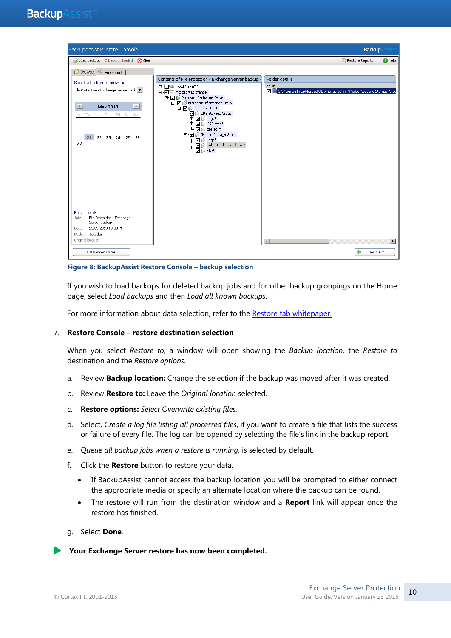

**Figure 8: BackupAssist Restore Console – backup selection**

If you wish to load backups for deleted backup jobs and for other backup groupings on the Home page, select *Load backups* and then *Load all known backups*.

For more information about data selection, refer to the [Restore tab whitepaper.](http://www.backupassist.com/education/v8/whitepapers/restore_whitepaper.html)

#### 7. **Restore Console – restore destination selection**

When you select *Restore to,* a window will open showing the *Backup location,* the *Restore to* destination and the *Restore options*.

- a. Review **Backup location:** Change the selection if the backup was moved after it was created.
- b. Review **Restore to:** Leave the *Original location* selected.
- c. **Restore options:** *Select Overwrite existing files.*
- d. Select, *Create a log file listing all processed files*, if you want to create a file that lists the success or failure of every file. The log can be opened by selecting the file's link in the backup report.
- e. *Queue all backup jobs when a restore is running*, is selected by default.
- f. Click the **Restore** button to restore your data.
	- If BackupAssist cannot access the backup location you will be prompted to either connect the appropriate media or specify an alternate location where the backup can be found.
	- The restore will run from the destination window and a **Report** link will appear once the restore has finished.
- g. Select **Done**.

**Your Exchange Server restore has now been completed.**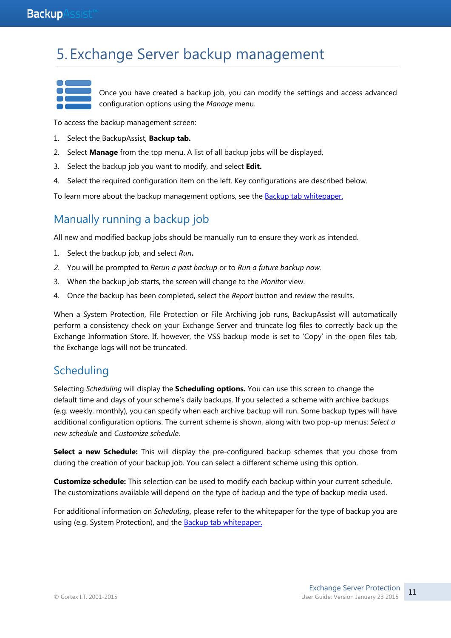## <span id="page-11-1"></span>5. Exchange Server backup management

Once you have created a backup job, you can modify the settings and access advanced configuration options using the *Manage* menu.

To access the backup management screen:

- 1. Select the BackupAssist, **Backup tab.**
- 2. Select **Manage** from the top menu. A list of all backup jobs will be displayed.
- 3. Select the backup job you want to modify, and select **Edit.**
- 4. Select the required configuration item on the left. Key configurations are described below.

To learn more about the backup management options, see the [Backup tab whitepaper.](http://www.backupassist.com/education/v8/whitepapers/backup_whitepaper.html)

## Manually running a backup job

All new and modified backup jobs should be manually run to ensure they work as intended.

- 1. Select the backup job, and select *Run***.**
- *2.* You will be prompted to *Rerun a past backup* or to *Run a future backup now.*
- 3. When the backup job starts, the screen will change to the *Monitor* view.
- 4. Once the backup has been completed, select the *Report* button and review the results.

When a System Protection, File Protection or File Archiving job runs, BackupAssist will automatically perform a consistency check on your Exchange Server and truncate log files to correctly back up the Exchange Information Store. If, however, the VSS backup mode is set to 'Copy' in the open files tab, the Exchange logs will not be truncated.

### <span id="page-11-0"></span>**Scheduling**

Selecting *Scheduling* will display the **Scheduling options.** You can use this screen to change the default time and days of your scheme's daily backups. If you selected a scheme with archive backups (e.g. weekly, monthly), you can specify when each archive backup will run. Some backup types will have additional configuration options. The current scheme is shown, along with two pop-up menus: *Select a new schedule* and *Customize schedule*.

Select a new Schedule: This will display the pre-configured backup schemes that you chose from during the creation of your backup job. You can select a different scheme using this option.

**Customize schedule:** This selection can be used to modify each backup within your current schedule. The customizations available will depend on the type of backup and the type of backup media used.

For additional information on *Scheduling*, please refer to the whitepaper for the type of backup you are using (e.g. System Protection), and the **Backup tab whitepaper.**